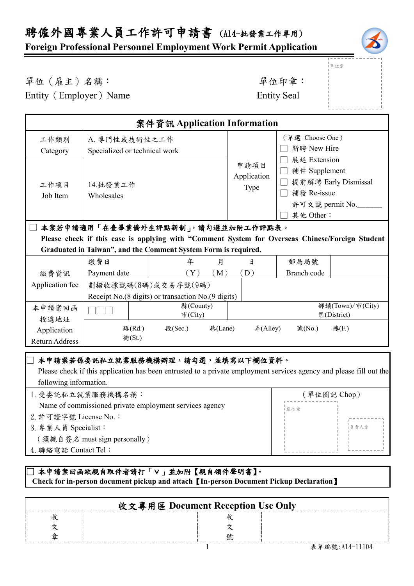# 聘僱外國專業人員工作許可申請書 (A14-批發業工作專用)

### **Foreign Professional Personnel Employment Work Permit Application**



單位章

#### 單位(雇主)名稱: 第六章: 李仁平 李 雷位印章:

Entity (Employer) Name Entity Seal

| 案件資訊 Application Information                                                                                                                                      |                                                                           |                                                                                                                                                          |                             |                                                                                                      |             |
|-------------------------------------------------------------------------------------------------------------------------------------------------------------------|---------------------------------------------------------------------------|----------------------------------------------------------------------------------------------------------------------------------------------------------|-----------------------------|------------------------------------------------------------------------------------------------------|-------------|
| 工作類別<br>Category                                                                                                                                                  | A. 專門性或技術性之工作<br>Specialized or technical work                            |                                                                                                                                                          |                             | (單選 Choose One)<br>新聘 New Hire                                                                       |             |
| 工作項目<br>Job Item                                                                                                                                                  | 14.批發業工作<br>Wholesales                                                    |                                                                                                                                                          | 申請項目<br>Application<br>Type | 展延 Extension<br>補件 Supplement<br>提前解聘 Early Dismissal<br>補發 Re-issue<br>許可文號 permit No.<br>其他 Other: |             |
| 本案若申請適用「在臺畢業僑外生評點新制」,請勾選並加附工作評點表。                                                                                                                                 |                                                                           |                                                                                                                                                          |                             |                                                                                                      |             |
| Please check if this case is applying with "Comment System for Overseas Chinese/Foreign Student<br>Graduated in Taiwan", and the Comment System Form is required. |                                                                           |                                                                                                                                                          |                             |                                                                                                      |             |
| 繳費資訊                                                                                                                                                              | 繳費日<br>Payment date                                                       | 年<br>月<br>(Y)<br>(M)                                                                                                                                     | 日<br>(D)                    | 郵局局號<br>Branch code                                                                                  |             |
| Application fee                                                                                                                                                   | 劃撥收據號碼(8碼)或交易序號(9碼)<br>Receipt No.(8 digits) or transaction No.(9 digits) |                                                                                                                                                          |                             |                                                                                                      |             |
| 本申請案回函<br>投遞地址                                                                                                                                                    |                                                                           | 縣(County)<br>市(City)                                                                                                                                     |                             | 鄉鎮(Town)/市(City)<br>區(District)                                                                      |             |
| Application<br><b>Return Address</b>                                                                                                                              | 路(Rd.)<br>街(St.)                                                          | 段(Sec.)<br>巷(Lane)                                                                                                                                       | #(Alley)                    | 號(No.)                                                                                               | 樓(F.)       |
| following information.                                                                                                                                            | 1. 受委託私立就業服務機構名稱:                                                         | 本申請案若係委託私立就業服務機構辦理,請勾選,並填寫以下欄位資料。<br>Please check if this application has been entrusted to a private employment services agency and please fill out the |                             |                                                                                                      | (單位圖記 Chop) |
| Name of commissioned private employment services agency<br> 單位章                                                                                                   |                                                                           |                                                                                                                                                          |                             |                                                                                                      |             |

2.許可證字號 License No.:

3.專業人員 Specialist:

(須親自簽名 must sign personally)

4.聯絡電話 Contact Tel:

#### **□ 本申請案回函欲親自取件者請打「∨」並加附【親自領件聲明書】。 Check for in-person document pickup and attach**【**In-person Document Pickup Declaration**】

| 收文專用區 Document Reception Use Only |  |  |  |  |
|-----------------------------------|--|--|--|--|
|                                   |  |  |  |  |
|                                   |  |  |  |  |
|                                   |  |  |  |  |

負責人章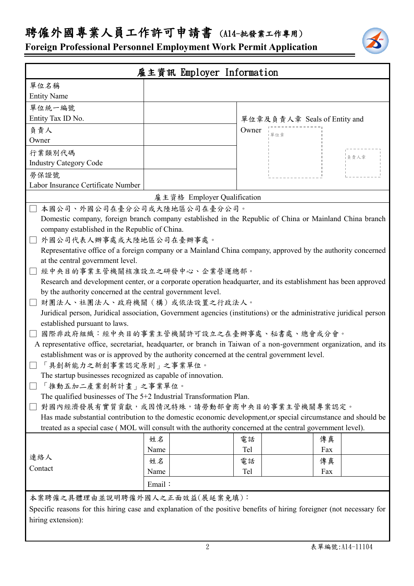## 聘僱外國專業人員工作許可申請書 (A14-批發業工作專用)

**Foreign Professional Personnel Employment Work Permit Application**

| 雇主資訊 Employer Information                                                                                                                                                     |                             |                              |      |  |  |
|-------------------------------------------------------------------------------------------------------------------------------------------------------------------------------|-----------------------------|------------------------------|------|--|--|
| 單位名稱                                                                                                                                                                          |                             |                              |      |  |  |
| <b>Entity Name</b>                                                                                                                                                            |                             |                              |      |  |  |
| 單位統一編號                                                                                                                                                                        |                             |                              |      |  |  |
| Entity Tax ID No.                                                                                                                                                             |                             | 單位章及負責人章 Seals of Entity and |      |  |  |
| 負責人                                                                                                                                                                           |                             | Owner<br> 單位章                |      |  |  |
| Owner                                                                                                                                                                         |                             |                              |      |  |  |
| 行業類別代碼                                                                                                                                                                        |                             |                              | 负责人章 |  |  |
| <b>Industry Category Code</b>                                                                                                                                                 |                             |                              |      |  |  |
| 勞保證號                                                                                                                                                                          |                             |                              |      |  |  |
| Labor Insurance Certificate Number                                                                                                                                            |                             |                              |      |  |  |
|                                                                                                                                                                               | 雇主資格 Employer Qualification |                              |      |  |  |
| 本國公司、外國公司在臺分公司或大陸地區公司在臺分公司。                                                                                                                                                   |                             |                              |      |  |  |
| Domestic company, foreign branch company established in the Republic of China or Mainland China branch                                                                        |                             |                              |      |  |  |
| company established in the Republic of China.                                                                                                                                 |                             |                              |      |  |  |
| 外國公司代表人辦事處或大陸地區公司在臺辦事處。                                                                                                                                                       |                             |                              |      |  |  |
| Representative office of a foreign company or a Mainland China company, approved by the authority concerned                                                                   |                             |                              |      |  |  |
| at the central government level.                                                                                                                                              |                             |                              |      |  |  |
| 經中央目的事業主管機關核准設立之研發中心、企業營運總部。                                                                                                                                                  |                             |                              |      |  |  |
| Research and development center, or a corporate operation headquarter, and its establishment has been approved<br>by the authority concerned at the central government level. |                             |                              |      |  |  |
| 財團法人、社團法人、政府機關(構)或依法設置之行政法人。                                                                                                                                                  |                             |                              |      |  |  |
| Juridical person, Juridical association, Government agencies (institutions) or the administrative juridical person                                                            |                             |                              |      |  |  |
| established pursuant to laws.                                                                                                                                                 |                             |                              |      |  |  |
| 國際非政府組織︰經中央目的事業主管機關許可設立之在臺辦事處、秘書處、總會或分會。                                                                                                                                      |                             |                              |      |  |  |
| A representative office, secretariat, headquarter, or branch in Taiwan of a non-government organization, and its                                                              |                             |                              |      |  |  |
| establishment was or is approved by the authority concerned at the central government level.                                                                                  |                             |                              |      |  |  |
| 「具創新能力之新創事業認定原則」之事業單位。                                                                                                                                                        |                             |                              |      |  |  |
| The startup businesses recognized as capable of innovation.                                                                                                                   |                             |                              |      |  |  |
| 「推動五加二產業創新計畫」之事業單位。                                                                                                                                                           |                             |                              |      |  |  |
| The qualified businesses of The 5+2 Industrial Transformation Plan.                                                                                                           |                             |                              |      |  |  |
| 對國內經濟發展有實質貢獻,或因情況特殊,請勞動部會商中央目的事業主管機關專案認定。                                                                                                                                     |                             |                              |      |  |  |
| Has made substantial contribution to the domestic economic development, or special circumstance and should be                                                                 |                             |                              |      |  |  |
| treated as a special case (MOL will consult with the authority concerned at the central government level).                                                                    |                             |                              |      |  |  |
|                                                                                                                                                                               | 姓名                          | 電話                           | 傳真   |  |  |
|                                                                                                                                                                               | Name                        | Tel                          | Fax  |  |  |
| 連絡人                                                                                                                                                                           | 姓名                          | 電話                           | 傳真   |  |  |
| Contact                                                                                                                                                                       | Name                        | Tel                          | Fax  |  |  |
|                                                                                                                                                                               | Email:                      |                              |      |  |  |
| 本案聘僱之具體理由並說明聘僱外國人之正面效益(展延案免填):                                                                                                                                                |                             |                              |      |  |  |
| Specific reasons for this hiring case and explanation of the positive benefits of hiring foreigner (not necessary for                                                         |                             |                              |      |  |  |
| hiring extension):                                                                                                                                                            |                             |                              |      |  |  |
|                                                                                                                                                                               |                             |                              |      |  |  |
|                                                                                                                                                                               |                             |                              |      |  |  |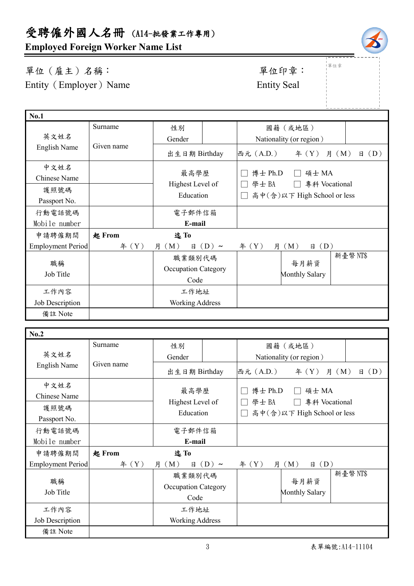# 受聘僱外國人名冊 (A14-批發業工作專用)

**Employed Foreign Worker Name List**

## 單位(雇主)名稱: 第四章: 李位印章: 早位印章: Entity (Employer) Name Entity Seal

單位章

|                          |            |                                       |                  |                             |                               | ---------------         |
|--------------------------|------------|---------------------------------------|------------------|-----------------------------|-------------------------------|-------------------------|
| No.1                     |            |                                       |                  |                             |                               |                         |
|                          | Surname    | 性別                                    |                  |                             | 國籍(或地區)                       |                         |
| 英文姓名                     |            | Gender                                |                  |                             | Nationality (or region)       |                         |
| English Name             | Given name | 出生日期 Birthday                         |                  | 西元 (A.D.)                   | f(X)                          | $\boxplus$ (D)<br>月 (M) |
| 中文姓名                     |            | 最高學歷                                  |                  | 博士 Ph.D                     | 碩士 MA                         |                         |
| Chinese Name             |            | Highest Level of                      |                  | 學士BA                        | 專科 Vocational                 |                         |
| 護照號碼                     |            | Education                             |                  | 高中(含)以下 High School or less |                               |                         |
| Passport No.             |            |                                       |                  |                             |                               |                         |
| 行動電話號碼                   |            | 電子郵件信箱                                |                  |                             |                               |                         |
| Mobile number            |            | E-mail                                |                  |                             |                               |                         |
| 申請聘僱期間                   | 起 From     | 迄To                                   |                  |                             |                               |                         |
| <b>Employment Period</b> | 年 (Y)      | 月 (M)                                 | $\boxplus$ (D) ~ | # (Y)<br>月                  | $\boxplus$ (D)<br>(M)         |                         |
| 職稱<br>Job Title          |            | 職業類別代碼<br>Occupation Category<br>Code |                  |                             | 每月薪資<br><b>Monthly Salary</b> | 新臺幣NT\$                 |
| 工作內容                     |            | 工作地址                                  |                  |                             |                               |                         |
| Job Description          |            | <b>Working Address</b>                |                  |                             |                               |                         |
| 備註 Note                  |            |                                       |                  |                             |                               |                         |
|                          |            |                                       |                  |                             |                               |                         |

| No.2              |            |                                    |            |                             |                         |                         |
|-------------------|------------|------------------------------------|------------|-----------------------------|-------------------------|-------------------------|
|                   | Surname    | 性別                                 |            |                             | 國籍(或地區)                 |                         |
| 英文姓名              |            | Gender                             |            |                             | Nationality (or region) |                         |
| English Name      | Given name | 出生日期 Birthday                      |            | 西元 (A.D.)                   | 年 $(Y)$                 | $\boxplus$ (D)<br>月 (M) |
| 中文姓名              |            |                                    |            |                             |                         |                         |
| Chinese Name      |            | 最高學歷                               |            | 博士 Ph.D                     | 碩士 MA                   |                         |
| 護照號碼              |            | Highest Level of                   |            | 學士BA                        | 專科 Vocational           |                         |
| Passport No.      |            | Education                          |            | 高中(含)以下 High School or less |                         |                         |
| 行動電話號碼            |            | 電子郵件信箱                             |            |                             |                         |                         |
| Mobile number     |            | E-mail                             |            |                             |                         |                         |
| 申請聘僱期間            | 起 From     | 迄To                                |            |                             |                         |                         |
| Employment Period | # (Y)      | 月 (M)<br>日                         | $(D) \sim$ | f(X)                        | (D)<br>月 (M)<br>日       |                         |
| 職稱                |            | 職業類別代碼                             |            |                             | 每月薪資                    | 新臺幣 NT\$                |
|                   |            | <b>Occupation Category</b><br>Code |            |                             |                         |                         |
| Job Title         |            |                                    |            | <b>Monthly Salary</b>       |                         |                         |
| 工作內容              |            | 工作地址                               |            |                             |                         |                         |
| Job Description   |            | <b>Working Address</b>             |            |                             |                         |                         |
| 備註 Note           |            |                                    |            |                             |                         |                         |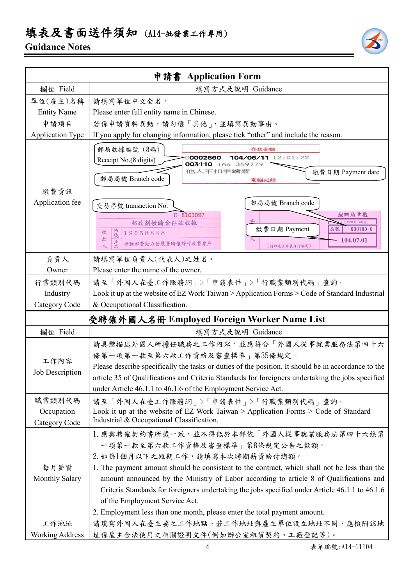## 填表及書面送件須知 (A14-批發業工作專用)

### **Guidance Notes**



|                                       | 申請書 Application Form                                                                                                                                                                                                                                                                                                                                                                                                                                                                                                       |  |  |
|---------------------------------------|----------------------------------------------------------------------------------------------------------------------------------------------------------------------------------------------------------------------------------------------------------------------------------------------------------------------------------------------------------------------------------------------------------------------------------------------------------------------------------------------------------------------------|--|--|
| 欄位 Field                              | 填寫方式及說明 Guidance                                                                                                                                                                                                                                                                                                                                                                                                                                                                                                           |  |  |
| 單位(雇主)名稱                              | 請填寫單位中文全名。                                                                                                                                                                                                                                                                                                                                                                                                                                                                                                                 |  |  |
| <b>Entity Name</b>                    | Please enter full entity name in Chinese.                                                                                                                                                                                                                                                                                                                                                                                                                                                                                  |  |  |
| 申請項目                                  | 若係申請資料異動,請勾選「其他」,並填寫異動事由。                                                                                                                                                                                                                                                                                                                                                                                                                                                                                                  |  |  |
| <b>Application Type</b>               | If you apply for changing information, please tick "other" and include the reason.                                                                                                                                                                                                                                                                                                                                                                                                                                         |  |  |
| 繳費資訊                                  | 郵局收據編號 (8碼)<br>存款金額<br>104/06/11 12:01:22<br>0002660<br>Receipt No.(8 digits)<br>003110 1A6 359779<br>他人不扣手續靈<br>繳費日期 Payment date<br>郵局局號 Branch code<br>電腦記錄                                                                                                                                                                                                                                                                                                                                                             |  |  |
| Application fee                       | 郵局局號 Branch code<br>交易序號 transaction No.<br>E-8103097<br>經辦局章戳<br>郵政劃撥儲金存款收據<br>門郵局(901支)<br>繳費日期 Payment<br>$000100 - 6$<br>局號<br>帳號<br>19058848<br>收<br>款<br>104.07.01<br>⋏<br>勞動部勞動力發展署聘僱許可收費專戶<br>人<br>(請以雇主名義自行填寫)                                                                                                                                                                                                                                                                                                    |  |  |
| 負責人                                   | 請填寫單位負責人(代表人)之姓名。                                                                                                                                                                                                                                                                                                                                                                                                                                                                                                          |  |  |
| Owner                                 | Please enter the name of the owner.                                                                                                                                                                                                                                                                                                                                                                                                                                                                                        |  |  |
| 行業類別代碼                                | 請至「外國人在臺工作服務網」>「申請表件」>「行職業類別代碼」查詢。                                                                                                                                                                                                                                                                                                                                                                                                                                                                                         |  |  |
| Industry                              | Look it up at the website of EZ Work Taiwan > Application Forms > Code of Standard Industrial                                                                                                                                                                                                                                                                                                                                                                                                                              |  |  |
| Category Code                         | & Occupational Classification.                                                                                                                                                                                                                                                                                                                                                                                                                                                                                             |  |  |
|                                       | 受聘僱外國人名冊 Employed Foreign Worker Name List                                                                                                                                                                                                                                                                                                                                                                                                                                                                                 |  |  |
| 欄位 Field                              | 填寫方式及說明 Guidance                                                                                                                                                                                                                                                                                                                                                                                                                                                                                                           |  |  |
| 工作內容<br><b>Job Description</b>        | 請具體描述外國人所擔任職務之工作內容,並應符合「外國人從事就業服務法第四十六<br>條第一項第一款至第六款工作資格及審查標準」第35條規定。<br>Please describe specifically the tasks or duties of the position. It should be in accordance to the<br>article 35 of Qualifications and Criteria Standards for foreigners undertaking the jobs specified<br>under Article 46.1.1 to 46.1.6 of the Employment Service Act.                                                                                                                                                                        |  |  |
| 職業類別代碼<br>Occupation<br>Category Code | 請至「外國人在臺工作服務網」>「申請表件」>「行職業類別代碼」查詢。<br>Look it up at the website of EZ Work Taiwan > Application Forms > Code of Standard<br>Industrial & Occupational Classification.                                                                                                                                                                                                                                                                                                                                                      |  |  |
| 每月薪資<br><b>Monthly Salary</b>         | 1. 應與聘僱契約書所載一致,並不得低於本部依「外國人從事就業服務法第四十六條第<br>一項第一款至第六款工作資格及審查標準   第8條規定公告之數額。<br>2. 如係1個月以下之短期工作,請填寫本次聘期薪資給付總額。<br>1. The payment amount should be consistent to the contract, which shall not be less than the<br>amount announced by the Ministry of Labor according to article 8 of Qualifications and<br>Criteria Standards for foreigners undertaking the jobs specified under Article 46.1.1 to 46.1.6<br>of the Employment Service Act.<br>2. Employment less than one month, please enter the total payment amount. |  |  |
| 工作地址                                  | 請填寫外國人在臺主要之工作地點。若工作地址與雇主單位設立地址不同,應檢附該地                                                                                                                                                                                                                                                                                                                                                                                                                                                                                     |  |  |
| <b>Working Address</b>                | 址係雇主合法使用之相關證明文件(例如辦公室租賃契約、工廠登記等)。                                                                                                                                                                                                                                                                                                                                                                                                                                                                                          |  |  |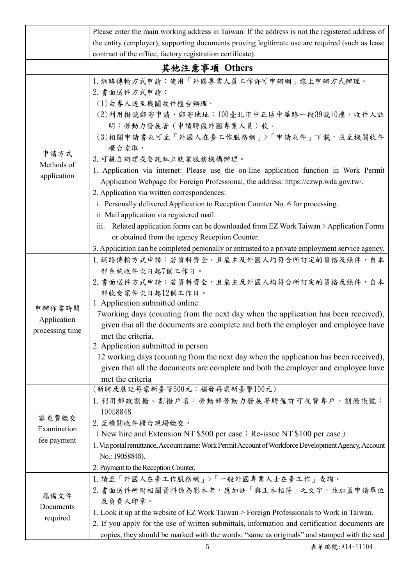|                                                            | Please enter the main working address in Taiwan. If the address is not the registered address of                                                                                                                                                                                                                                                                                                                                                                                                                                                                                                                                                                                                   |  |  |  |
|------------------------------------------------------------|----------------------------------------------------------------------------------------------------------------------------------------------------------------------------------------------------------------------------------------------------------------------------------------------------------------------------------------------------------------------------------------------------------------------------------------------------------------------------------------------------------------------------------------------------------------------------------------------------------------------------------------------------------------------------------------------------|--|--|--|
|                                                            | the entity (employer), supporting documents proving legitimate use are required (such as lease                                                                                                                                                                                                                                                                                                                                                                                                                                                                                                                                                                                                     |  |  |  |
|                                                            |                                                                                                                                                                                                                                                                                                                                                                                                                                                                                                                                                                                                                                                                                                    |  |  |  |
| contract of the office, factory registration certificate). |                                                                                                                                                                                                                                                                                                                                                                                                                                                                                                                                                                                                                                                                                                    |  |  |  |
|                                                            | 其他注意事項 Others                                                                                                                                                                                                                                                                                                                                                                                                                                                                                                                                                                                                                                                                                      |  |  |  |
| 申請方式<br>Methods of<br>application                          | 1. 網路傳輸方式申請:使用「外國專業人員工作許可申辦網」線上申辦方式辦理。<br>2. 書面送件方式申請:<br>(1)由專人送至機關收件櫃台辦理。<br>(2)利用掛號郵寄申請,郵寄地址:100臺北市中正區中華路一段39號10樓,收件人註<br>明:勞動力發展署(申請聘僱外國專業人員)收。<br>(3)相關申請書表可至「外國人在臺工作服務網」>「申請表件」下載,或至機關收件<br>櫃台索取。<br>3. 可親自辦理或委託私立就業服務機構辦理。<br>1. Application via internet: Please use the on-line application function in Work Permit<br>Application Webpage for Foreign Professional, the address: https://ezwp.wda.gov.tw/.<br>2. Application via written correspondences:<br>i. Personally delivered Application to Reception Counter No. 6 for processing.<br>ii Mail application via registered mail.<br>iii. Related application forms can be downloaded from EZ Work Taiwan $\geq$ Application Forms |  |  |  |
|                                                            | or obtained from the agency Reception Counter.                                                                                                                                                                                                                                                                                                                                                                                                                                                                                                                                                                                                                                                     |  |  |  |
|                                                            | 3. Application can be completed personally or entrusted to a private employment service agency.                                                                                                                                                                                                                                                                                                                                                                                                                                                                                                                                                                                                    |  |  |  |
| 申辦作業時間<br>Application<br>processing time                   | 1. 網路傳輸方式申請:若資料齊全, 且雇主及外國人均符合所訂定的資格及條件, 自本<br>部系統收件次日起7個工作日。<br>2. 書面送件方式申請:若資料齊全,且雇主及外國人均符合所訂定的資格及條件,自本<br>部收受案件次日起12個工作日。<br>1. Application submitted online<br>7 working days (counting from the next day when the application has been received),<br>given that all the documents are complete and both the employer and employee have<br>met the criteria.<br>2. Application submitted in person<br>12 working days (counting from the next day when the application has been received),<br>given that all the documents are complete and both the employer and employee have<br>met the criteria                                                                                             |  |  |  |
| 審查費繳交<br>Examination<br>fee payment                        | (新聘及展延每案新臺幣500元;補發每案新臺幣100元)<br>1. 利用郵政劃撥。劃撥戶名: 勞動部勞動力發展署聘僱許可收費專戶, 劃撥帳號:<br>19058848<br>2. 至機關收件櫃台現場繳交。<br>(New hire and Extension NT \$500 per case; Re-issue NT \$100 per case)<br>1. Via postal remittance, Account name: Work Permit Account of Workforce Development Agency, Account<br>No.: 19058848).<br>2. Payment to the Reception Counter.                                                                                                                                                                                                                                                                                                                                               |  |  |  |
| 應備文件<br>Documents<br>required                              | 1. 請至「外國人在臺工作服務網」>「一般外國專業人士在臺工作」查詢。<br>2. 書面送件所附相關資料係為影本者,應加註「與正本相符」之文字,並加蓋申請單位<br>及負責人印章。<br>1. Look it up at the website of EZ Work Taiwan > Foreign Professionals to Work in Taiwan.<br>2. If you apply for the use of written submittals, information and certification documents are<br>copies, they should be marked with the words: "same as originals" and stamped with the seal                                                                                                                                                                                                                                                                                                           |  |  |  |